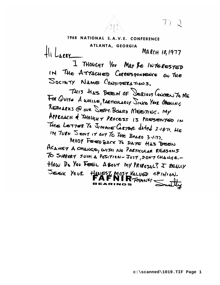1968 NATIONAL S.A.V.E. CONFERENCE

ATLANTA, GEORGIA  $Hilker$ MARCH 10, 1977

I THOUGHT YOU MAY BE INTERESTED IN THE ATTACHED CORRESPONDENCE ON THE SOCIETY NAME CONJIDERATIONS.

THIS HAS BEEN OF DERIEUS CONCELLYS ME FOR QUITE À WHILE, PARTICULARLY SINCE YOUR OPENING REMARKS @ OUR SEPT. BOURD MEETING. MY APPROACH & THOUGHT PROCESS IS PRESENTED IN The LETTER To JIMMIE GRIER dated 2.18.71. HE IN TURN SENT IT OUT TO THE BOARD 3-1-77.

MOST FEED BACK TO DATE HAS BEEN AGAINST A CHANGE, WITH NO PARTICULAR REASONS TO SUPPRET JUCH A POSITION - JUST, DON'T CHANGE. -HOW DO YOU FEEL A BOUT MY PROPOJAL? I REALLY JEEK YOUR HOUESZ MOST VALUED OPINION.

 $772$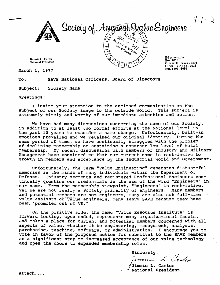

Society of American Value Engineers  $M_{\lambda}$ Mazer CENT and rest Red

**Jimmie L. Carter National President** 

March 1, 1977

**ESystems, Inc. Box 1056 Greenville, Texas 7540 1 Office: (214 821-7631 EX(. m1.6m** 

To : **SAVE** National Officers, Board of Directors

Subject: Society Name

Greetings:

I invite your attention to the enclosed communication on the subject of our Society image to the outside world. This subject is extremely timely and worthy of our immediate attention and action.

We have had many discussions concerning the name of our Society, in addition to at least two formal efforts at the National level in the past 10 years to consider a name change. Unfortunately, built-in emotions prevailed and we retained our original identity. During the same period of time, we have continually struggled with the problem of declining membership or sustaining a constant low level of total<br>membership. My recent discussions with members of Industry and Mil My recent discussions with members of Industry and Military Management have convinced me that our current name is restrictive to growth in members and acceptance by the Industrial World and Government.

Unfortunately, the term "Value Engineering" generates distasteful memories in the minds of many individuals within the Department of<br>Defense. Industry segments and registered Professional Engineers Industry segments and registered Professional Engineers continually question our credentials in the use of the word "Engineers" in -our name. From the membership viewpoint, "Engineers" is restrictive, yet we are not really a Society primarily of engineers. Many members and potential members are not engineers, many are also not full-time value analysts or value engineers, many leave SAVE because they have been "promoted out of **VE."** 

On the positive side, the name "Value Resource Institute" is forward looking, open ended, represents many organizational facets, and makes a place for current and potential members concerned with all aspects of value, whether it be engineering, management, analysis, purchasing, teaching, software, or administration. I encourage you to vote in favor of the proposed action for submittal to the SAVE members as a significant step to increased acceptance of our value technology and open the doors to expanded membership roles.

Sincerely,

mmu. X Canten

j;/Jimmie **L.** Carter National President